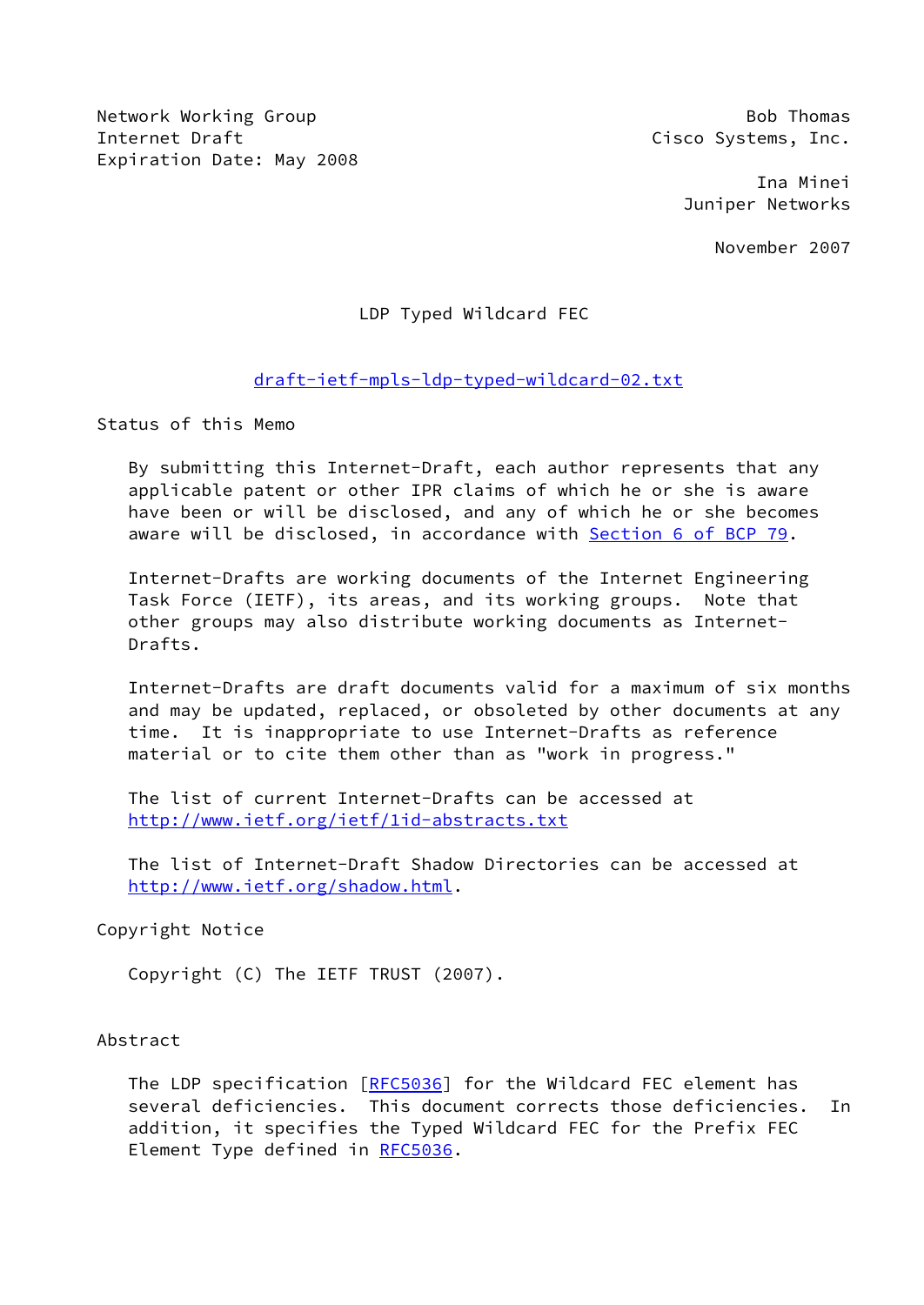Network Working Group Bob Thomas Internet Draft **Cisco Systems**, Inc. Expiration Date: May 2008

 Ina Minei Juniper Networks

November 2007

# LDP Typed Wildcard FEC

## [draft-ietf-mpls-ldp-typed-wildcard-02.txt](https://datatracker.ietf.org/doc/pdf/draft-ietf-mpls-ldp-typed-wildcard-02.txt)

Status of this Memo

 By submitting this Internet-Draft, each author represents that any applicable patent or other IPR claims of which he or she is aware have been or will be disclosed, and any of which he or she becomes aware will be disclosed, in accordance with Section [6 of BCP 79.](https://datatracker.ietf.org/doc/pdf/bcp79#section-6)

 Internet-Drafts are working documents of the Internet Engineering Task Force (IETF), its areas, and its working groups. Note that other groups may also distribute working documents as Internet- Drafts.

 Internet-Drafts are draft documents valid for a maximum of six months and may be updated, replaced, or obsoleted by other documents at any time. It is inappropriate to use Internet-Drafts as reference material or to cite them other than as "work in progress."

 The list of current Internet-Drafts can be accessed at <http://www.ietf.org/ietf/1id-abstracts.txt>

 The list of Internet-Draft Shadow Directories can be accessed at <http://www.ietf.org/shadow.html>.

## Copyright Notice

Copyright (C) The IETF TRUST (2007).

### Abstract

 The LDP specification [[RFC5036](https://datatracker.ietf.org/doc/pdf/rfc5036)] for the Wildcard FEC element has several deficiencies. This document corrects those deficiencies. In addition, it specifies the Typed Wildcard FEC for the Prefix FEC Element Type defined in [RFC5036](https://datatracker.ietf.org/doc/pdf/rfc5036).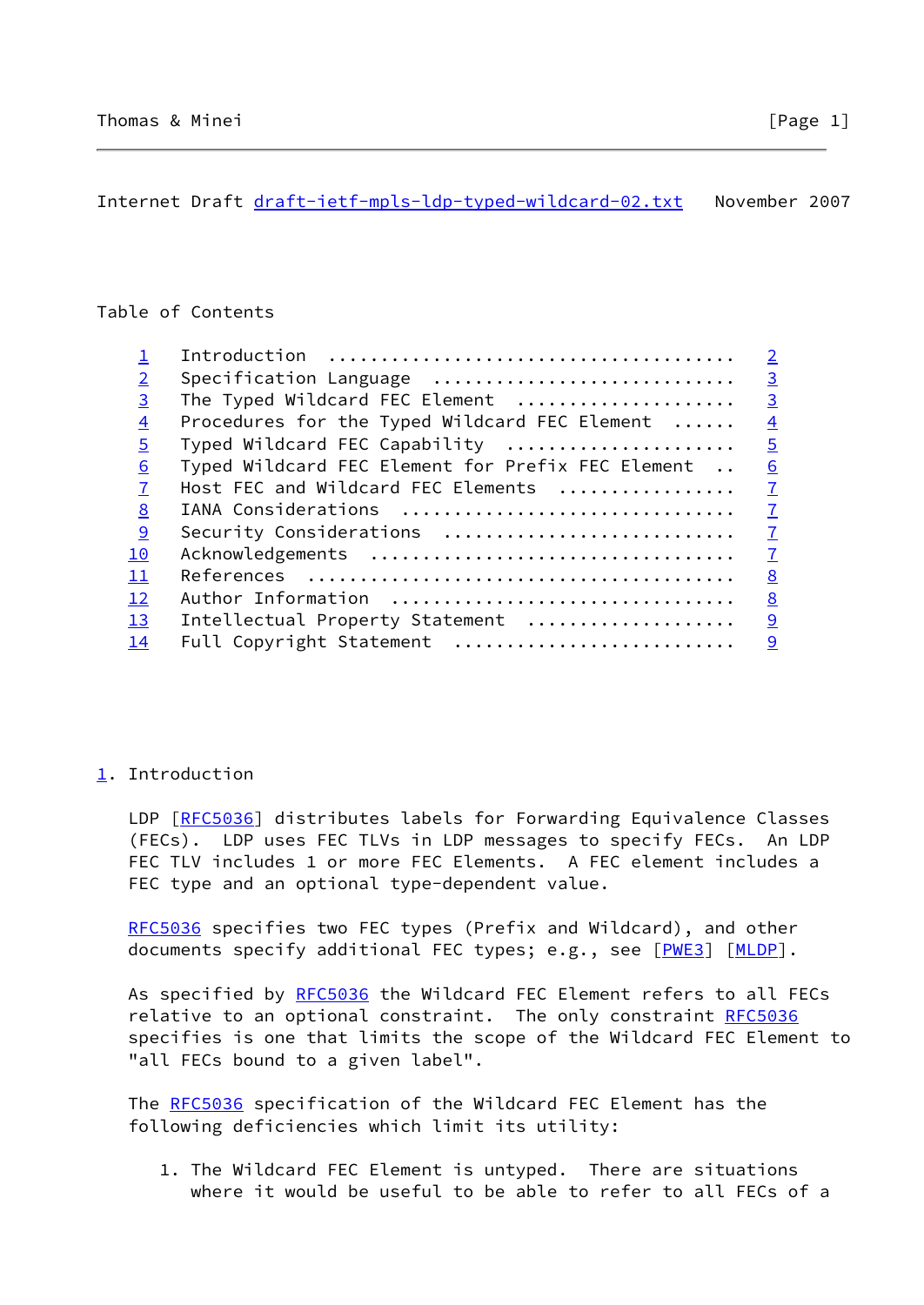<span id="page-1-1"></span>Internet Draft [draft-ietf-mpls-ldp-typed-wildcard-02.txt](https://datatracker.ietf.org/doc/pdf/draft-ietf-mpls-ldp-typed-wildcard-02.txt) November 2007

## Table of Contents

|                |                                                   | $\overline{2}$ |
|----------------|---------------------------------------------------|----------------|
| $\overline{2}$ | Specification Language                            | $\overline{3}$ |
| $\overline{3}$ | The Typed Wildcard FEC Element                    | $\overline{3}$ |
| $\overline{4}$ | Procedures for the Typed Wildcard FEC Element     | $\overline{4}$ |
| $\overline{5}$ | Typed Wildcard FEC Capability                     | $\overline{5}$ |
| 6              | Typed Wildcard FEC Element for Prefix FEC Element | 6              |
| $\overline{7}$ | Host FEC and Wildcard FEC Elements                | $\overline{1}$ |
| 8              | IANA Considerations                               | $\overline{1}$ |
| 9              | Security Considerations                           | $\overline{1}$ |
| 10             |                                                   | $\overline{1}$ |
| 11             |                                                   | 8              |
| 12             | Author Information                                | 8              |
| 13             | Intellectual Property Statement                   | 9              |
| 14             | Full Copyright Statement                          | $\overline{9}$ |
|                |                                                   |                |

## <span id="page-1-0"></span>[1](#page-1-0). Introduction

LDP [\[RFC5036](https://datatracker.ietf.org/doc/pdf/rfc5036)] distributes labels for Forwarding Equivalence Classes (FECs). LDP uses FEC TLVs in LDP messages to specify FECs. An LDP FEC TLV includes 1 or more FEC Elements. A FEC element includes a FEC type and an optional type-dependent value.

[RFC5036](https://datatracker.ietf.org/doc/pdf/rfc5036) specifies two FEC types (Prefix and Wildcard), and other documents specify additional FEC types; e.g., see [[PWE3\]](#page-8-1) [\[MLDP](#page-8-2)].

As specified by [RFC5036](https://datatracker.ietf.org/doc/pdf/rfc5036) the Wildcard FEC Element refers to all FECs relative to an optional constraint. The only constraint [RFC5036](https://datatracker.ietf.org/doc/pdf/rfc5036) specifies is one that limits the scope of the Wildcard FEC Element to "all FECs bound to a given label".

 The [RFC5036](https://datatracker.ietf.org/doc/pdf/rfc5036) specification of the Wildcard FEC Element has the following deficiencies which limit its utility:

 1. The Wildcard FEC Element is untyped. There are situations where it would be useful to be able to refer to all FECs of a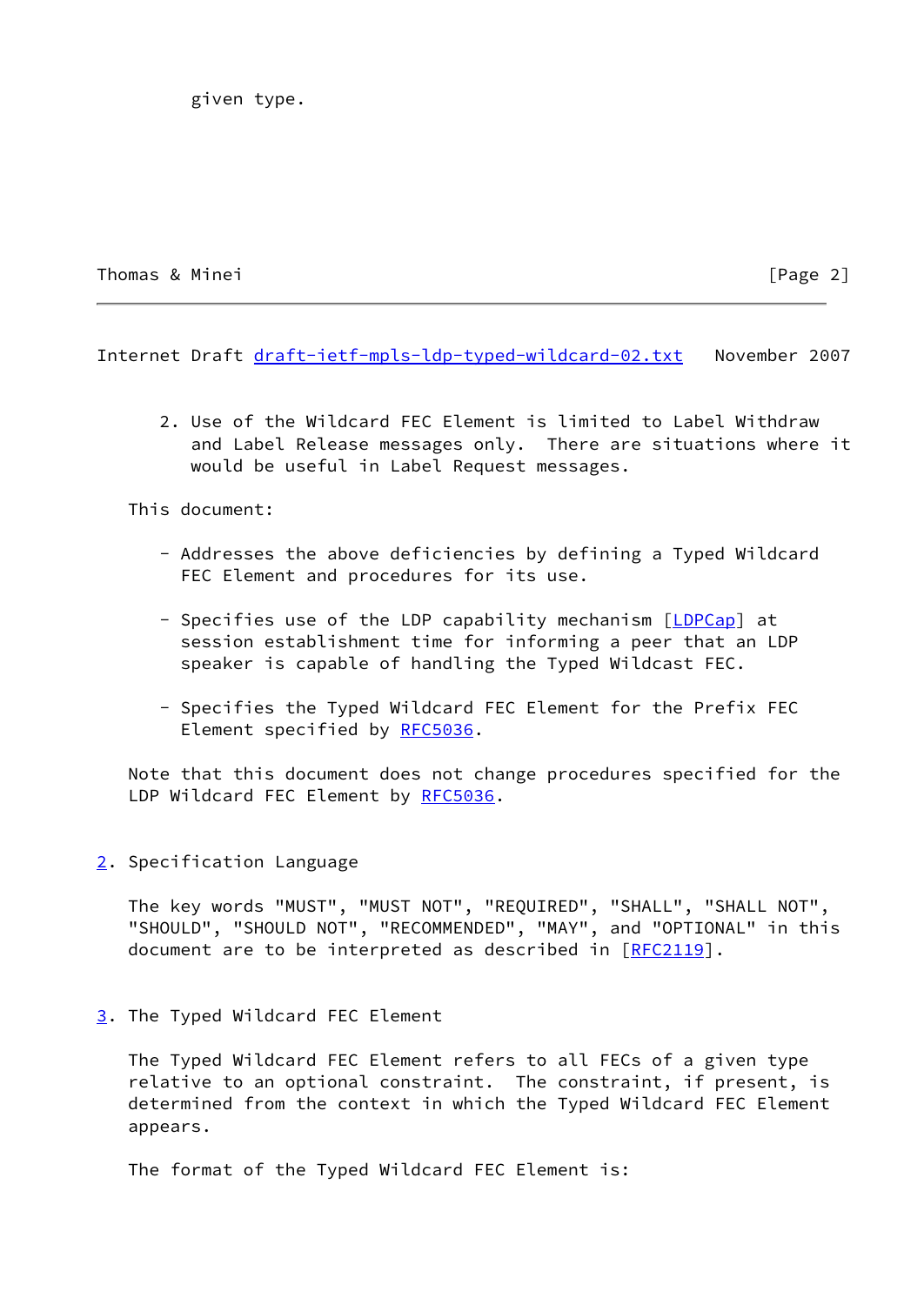given type.

Thomas & Minei [Page 2]

<span id="page-2-1"></span>Internet Draft [draft-ietf-mpls-ldp-typed-wildcard-02.txt](https://datatracker.ietf.org/doc/pdf/draft-ietf-mpls-ldp-typed-wildcard-02.txt) November 2007

 2. Use of the Wildcard FEC Element is limited to Label Withdraw and Label Release messages only. There are situations where it would be useful in Label Request messages.

This document:

- Addresses the above deficiencies by defining a Typed Wildcard FEC Element and procedures for its use.
- Specifies use of the LDP capability mechanism [[LDPCap](#page-8-3)] at session establishment time for informing a peer that an LDP speaker is capable of handling the Typed Wildcast FEC.
- Specifies the Typed Wildcard FEC Element for the Prefix FEC Element specified by [RFC5036](https://datatracker.ietf.org/doc/pdf/rfc5036).

 Note that this document does not change procedures specified for the LDP Wildcard FEC Element by [RFC5036.](https://datatracker.ietf.org/doc/pdf/rfc5036)

<span id="page-2-0"></span>[2](#page-2-0). Specification Language

 The key words "MUST", "MUST NOT", "REQUIRED", "SHALL", "SHALL NOT", "SHOULD", "SHOULD NOT", "RECOMMENDED", "MAY", and "OPTIONAL" in this document are to be interpreted as described in [\[RFC2119](https://datatracker.ietf.org/doc/pdf/rfc2119)].

<span id="page-2-2"></span>[3](#page-2-2). The Typed Wildcard FEC Element

 The Typed Wildcard FEC Element refers to all FECs of a given type relative to an optional constraint. The constraint, if present, is determined from the context in which the Typed Wildcard FEC Element appears.

The format of the Typed Wildcard FEC Element is: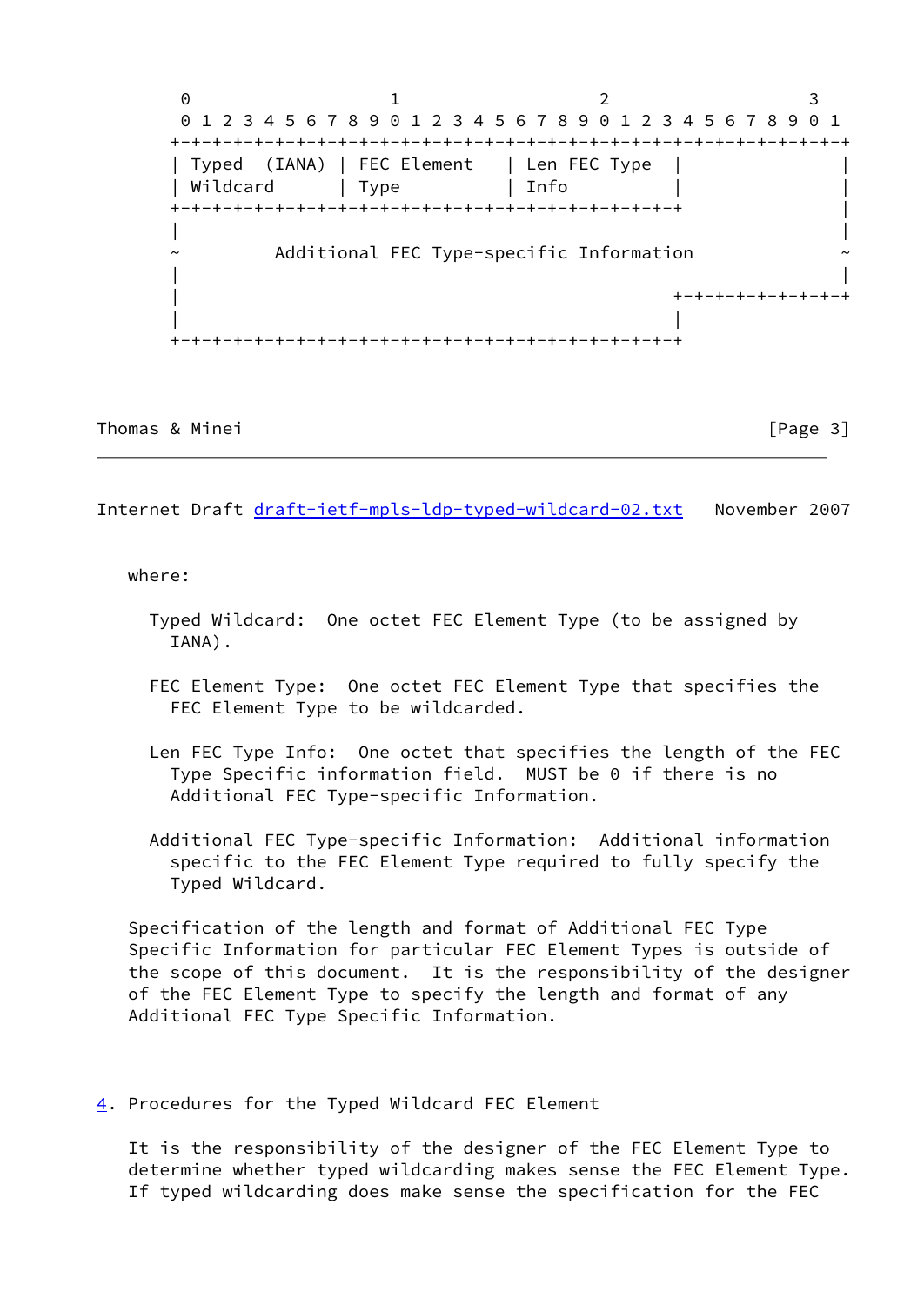$0$  1 2 3 0 1 2 3 4 5 6 7 8 9 0 1 2 3 4 5 6 7 8 9 0 1 2 3 4 5 6 7 8 9 0 1 +-+-+-+-+-+-+-+-+-+-+-+-+-+-+-+-+-+-+-+-+-+-+-+-+-+-+-+-+-+-+-+-+ | Typed (IANA) | FEC Element | Len FEC Type | | | Wildcard | Type | Info +-+-+-+-+-+-+-+-+-+-+-+-+-+-+-+-+-+-+-+-+-+-+-+-+ | | | Additional FEC Type-specific Information | | | +-+-+-+-+-+-+-+-+ | | +-+-+-+-+-+-+-+-+-+-+-+-+-+-+-+-+-+-+-+-+-+-+-+-+

Thomas & Minei **bluese and the contract of the contract of the contract of the contract of the contract of the contract of the contract of the contract of the contract of the contract of the contract of the contract of the** 

<span id="page-3-1"></span>Internet Draft [draft-ietf-mpls-ldp-typed-wildcard-02.txt](https://datatracker.ietf.org/doc/pdf/draft-ietf-mpls-ldp-typed-wildcard-02.txt) November 2007

#### where:

- Typed Wildcard: One octet FEC Element Type (to be assigned by IANA).
- FEC Element Type: One octet FEC Element Type that specifies the FEC Element Type to be wildcarded.
- Len FEC Type Info: One octet that specifies the length of the FEC Type Specific information field. MUST be 0 if there is no Additional FEC Type-specific Information.
- Additional FEC Type-specific Information: Additional information specific to the FEC Element Type required to fully specify the Typed Wildcard.

 Specification of the length and format of Additional FEC Type Specific Information for particular FEC Element Types is outside of the scope of this document. It is the responsibility of the designer of the FEC Element Type to specify the length and format of any Additional FEC Type Specific Information.

<span id="page-3-0"></span>[4](#page-3-0). Procedures for the Typed Wildcard FEC Element

 It is the responsibility of the designer of the FEC Element Type to determine whether typed wildcarding makes sense the FEC Element Type. If typed wildcarding does make sense the specification for the FEC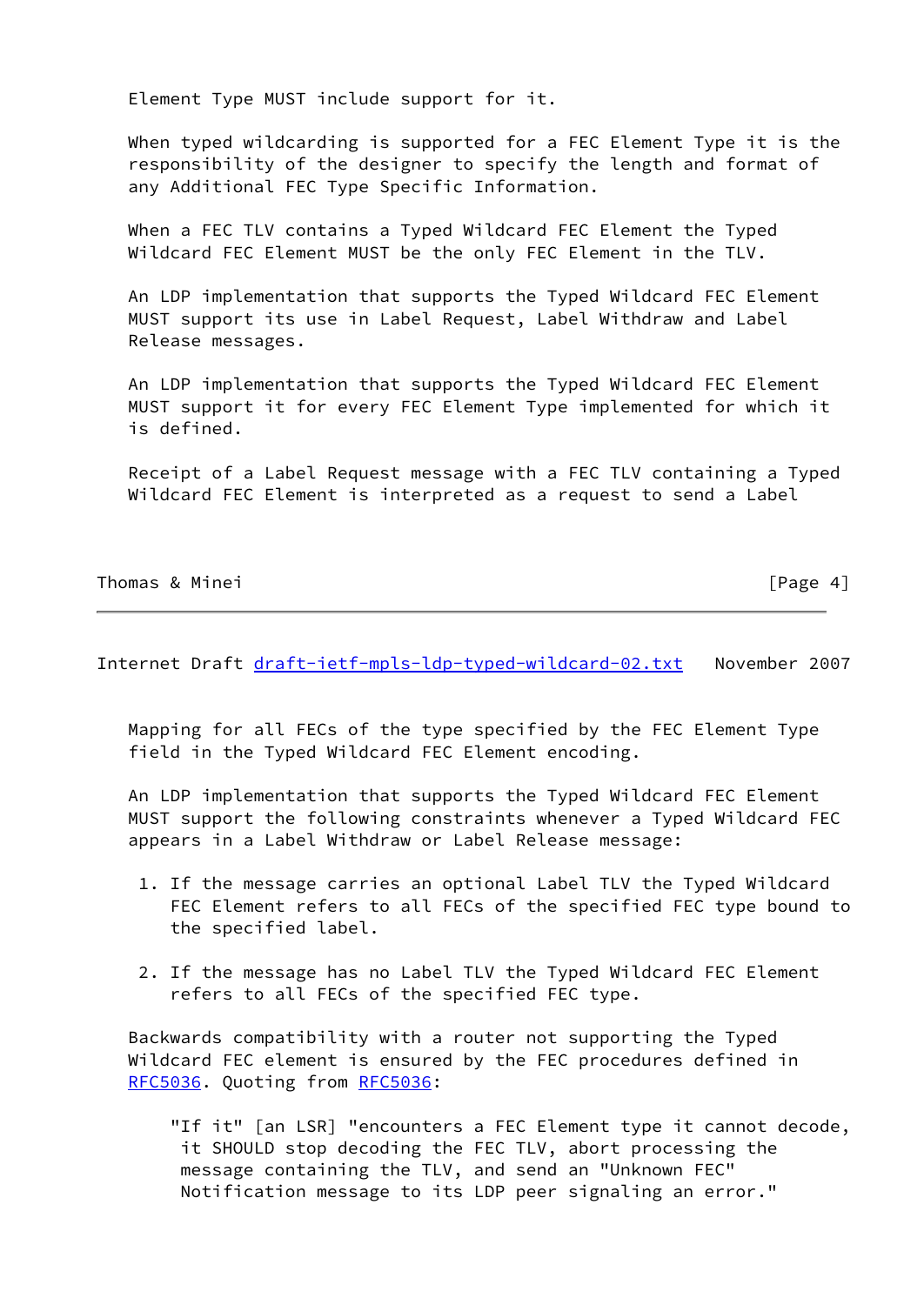Element Type MUST include support for it.

 When typed wildcarding is supported for a FEC Element Type it is the responsibility of the designer to specify the length and format of any Additional FEC Type Specific Information.

 When a FEC TLV contains a Typed Wildcard FEC Element the Typed Wildcard FEC Element MUST be the only FEC Element in the TLV.

 An LDP implementation that supports the Typed Wildcard FEC Element MUST support its use in Label Request, Label Withdraw and Label Release messages.

 An LDP implementation that supports the Typed Wildcard FEC Element MUST support it for every FEC Element Type implemented for which it is defined.

 Receipt of a Label Request message with a FEC TLV containing a Typed Wildcard FEC Element is interpreted as a request to send a Label

Thomas & Minei **Francisco Community** Thomas & Minei

<span id="page-4-0"></span>Internet Draft [draft-ietf-mpls-ldp-typed-wildcard-02.txt](https://datatracker.ietf.org/doc/pdf/draft-ietf-mpls-ldp-typed-wildcard-02.txt) November 2007

 Mapping for all FECs of the type specified by the FEC Element Type field in the Typed Wildcard FEC Element encoding.

 An LDP implementation that supports the Typed Wildcard FEC Element MUST support the following constraints whenever a Typed Wildcard FEC appears in a Label Withdraw or Label Release message:

- 1. If the message carries an optional Label TLV the Typed Wildcard FEC Element refers to all FECs of the specified FEC type bound to the specified label.
- 2. If the message has no Label TLV the Typed Wildcard FEC Element refers to all FECs of the specified FEC type.

 Backwards compatibility with a router not supporting the Typed Wildcard FEC element is ensured by the FEC procedures defined in [RFC5036](https://datatracker.ietf.org/doc/pdf/rfc5036). Quoting from [RFC5036](https://datatracker.ietf.org/doc/pdf/rfc5036):

 "If it" [an LSR] "encounters a FEC Element type it cannot decode, it SHOULD stop decoding the FEC TLV, abort processing the message containing the TLV, and send an "Unknown FEC" Notification message to its LDP peer signaling an error."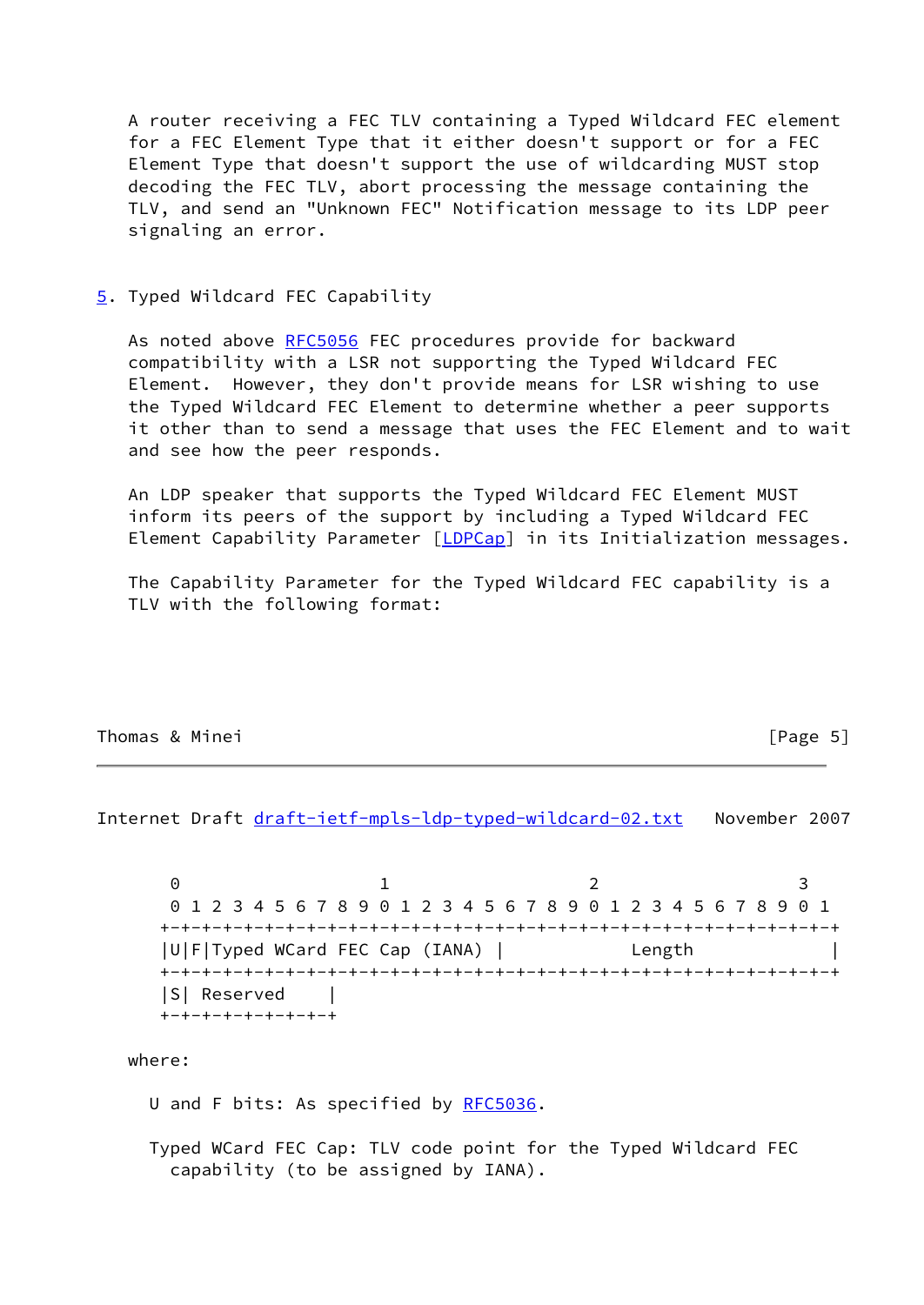A router receiving a FEC TLV containing a Typed Wildcard FEC element for a FEC Element Type that it either doesn't support or for a FEC Element Type that doesn't support the use of wildcarding MUST stop decoding the FEC TLV, abort processing the message containing the TLV, and send an "Unknown FEC" Notification message to its LDP peer signaling an error.

<span id="page-5-0"></span>[5](#page-5-0). Typed Wildcard FEC Capability

As noted above [RFC5056](https://datatracker.ietf.org/doc/pdf/rfc5056) FEC procedures provide for backward compatibility with a LSR not supporting the Typed Wildcard FEC Element. However, they don't provide means for LSR wishing to use the Typed Wildcard FEC Element to determine whether a peer supports it other than to send a message that uses the FEC Element and to wait and see how the peer responds.

 An LDP speaker that supports the Typed Wildcard FEC Element MUST inform its peers of the support by including a Typed Wildcard FEC Element Capability Parameter [\[LDPCap](#page-8-3)] in its Initialization messages.

 The Capability Parameter for the Typed Wildcard FEC capability is a TLV with the following format:

## Thomas & Minei **Francisco Community** Thomas & Minei

<span id="page-5-1"></span>Internet Draft [draft-ietf-mpls-ldp-typed-wildcard-02.txt](https://datatracker.ietf.org/doc/pdf/draft-ietf-mpls-ldp-typed-wildcard-02.txt) November 2007

0 1 2 3 0 1 2 3 4 5 6 7 8 9 0 1 2 3 4 5 6 7 8 9 0 1 2 3 4 5 6 7 8 9 0 1 +-+-+-+-+-+-+-+-+-+-+-+-+-+-+-+-+-+-+-+-+-+-+-+-+-+-+-+-+-+-+-+-+ |U|F|Typed WCard FEC Cap (IANA) | Length | +-+-+-+-+-+-+-+-+-+-+-+-+-+-+-+-+-+-+-+-+-+-+-+-+-+-+-+-+-+-+-+-+ |S| Reserved | +-+-+-+-+-+-+-+-+

where:

- U and F bits: As specified by [RFC5036](https://datatracker.ietf.org/doc/pdf/rfc5036).
- Typed WCard FEC Cap: TLV code point for the Typed Wildcard FEC capability (to be assigned by IANA).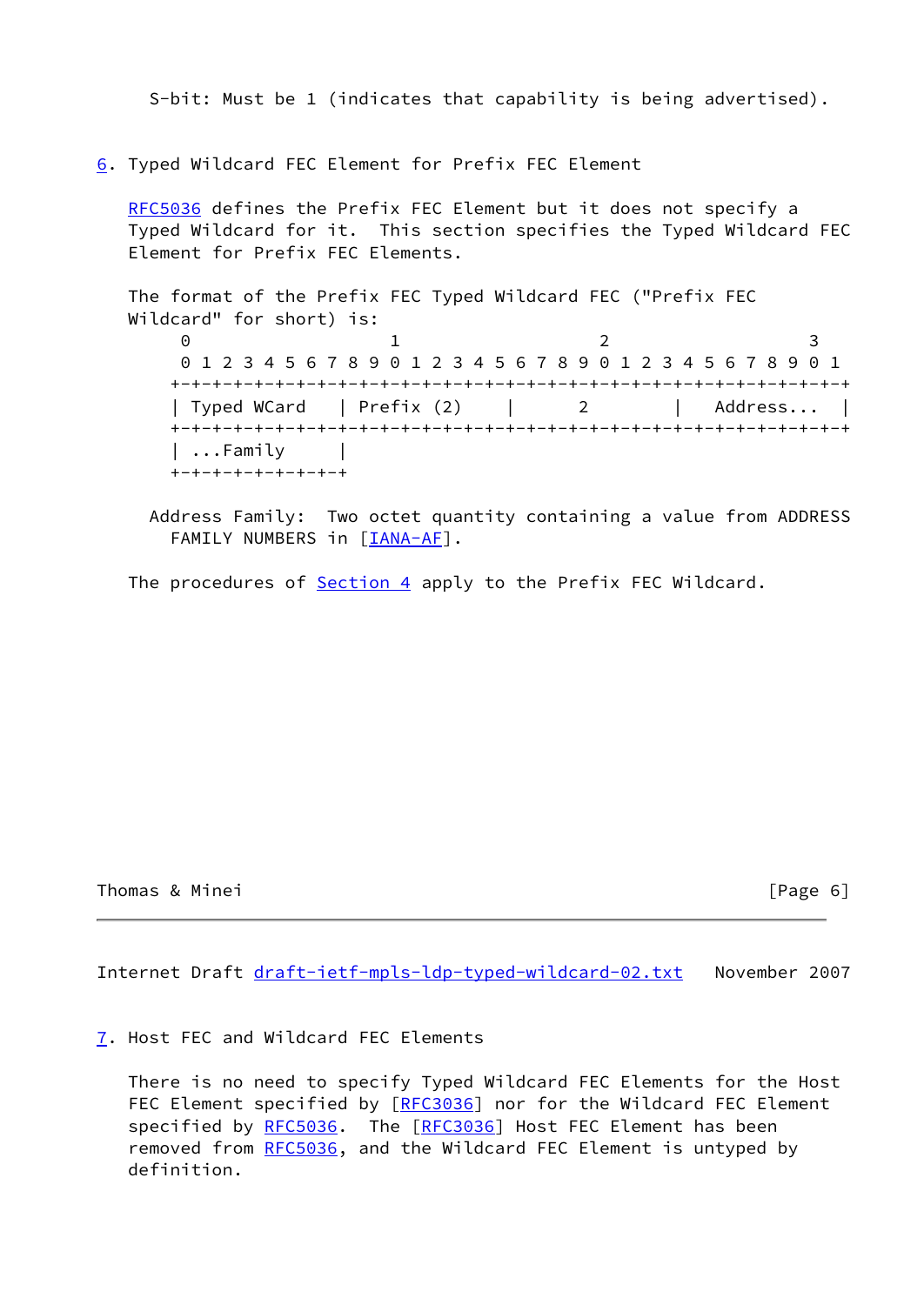S-bit: Must be 1 (indicates that capability is being advertised).

<span id="page-6-0"></span>[6](#page-6-0). Typed Wildcard FEC Element for Prefix FEC Element

 [RFC5036](https://datatracker.ietf.org/doc/pdf/rfc5036) defines the Prefix FEC Element but it does not specify a Typed Wildcard for it. This section specifies the Typed Wildcard FEC Element for Prefix FEC Elements.

 The format of the Prefix FEC Typed Wildcard FEC ("Prefix FEC Wildcard" for short) is:  $0$  1 2 3 0 1 2 3 4 5 6 7 8 9 0 1 2 3 4 5 6 7 8 9 0 1 2 3 4 5 6 7 8 9 0 1 +-+-+-+-+-+-+-+-+-+-+-+-+-+-+-+-+-+-+-+-+-+-+-+-+-+-+-+-+-+-+-+-+ | Typed WCard | Prefix (2) | 2 | Address... +-+-+-+-+-+-+-+-+-+-+-+-+-+-+-+-+-+-+-+-+-+-+-+-+-+-+-+-+-+-+-+-+ | ...Family | +-+-+-+-+-+-+-+-+

 Address Family: Two octet quantity containing a value from ADDRESS FAMILY NUMBERS in [[IANA-AF](#page-8-4)].

The procedures of [Section 4](#page-3-0) apply to the Prefix FEC Wildcard.

Thomas & Minei [Page 6]

<span id="page-6-2"></span>Internet Draft [draft-ietf-mpls-ldp-typed-wildcard-02.txt](https://datatracker.ietf.org/doc/pdf/draft-ietf-mpls-ldp-typed-wildcard-02.txt) November 2007

<span id="page-6-1"></span>[7](#page-6-1). Host FEC and Wildcard FEC Elements

 There is no need to specify Typed Wildcard FEC Elements for the Host FEC Element specified by [\[RFC3036](https://datatracker.ietf.org/doc/pdf/rfc3036)] nor for the Wildcard FEC Element specified by [RFC5036](https://datatracker.ietf.org/doc/pdf/rfc5036). The [[RFC3036\]](https://datatracker.ietf.org/doc/pdf/rfc3036) Host FEC Element has been removed from [RFC5036](https://datatracker.ietf.org/doc/pdf/rfc5036), and the Wildcard FEC Element is untyped by definition.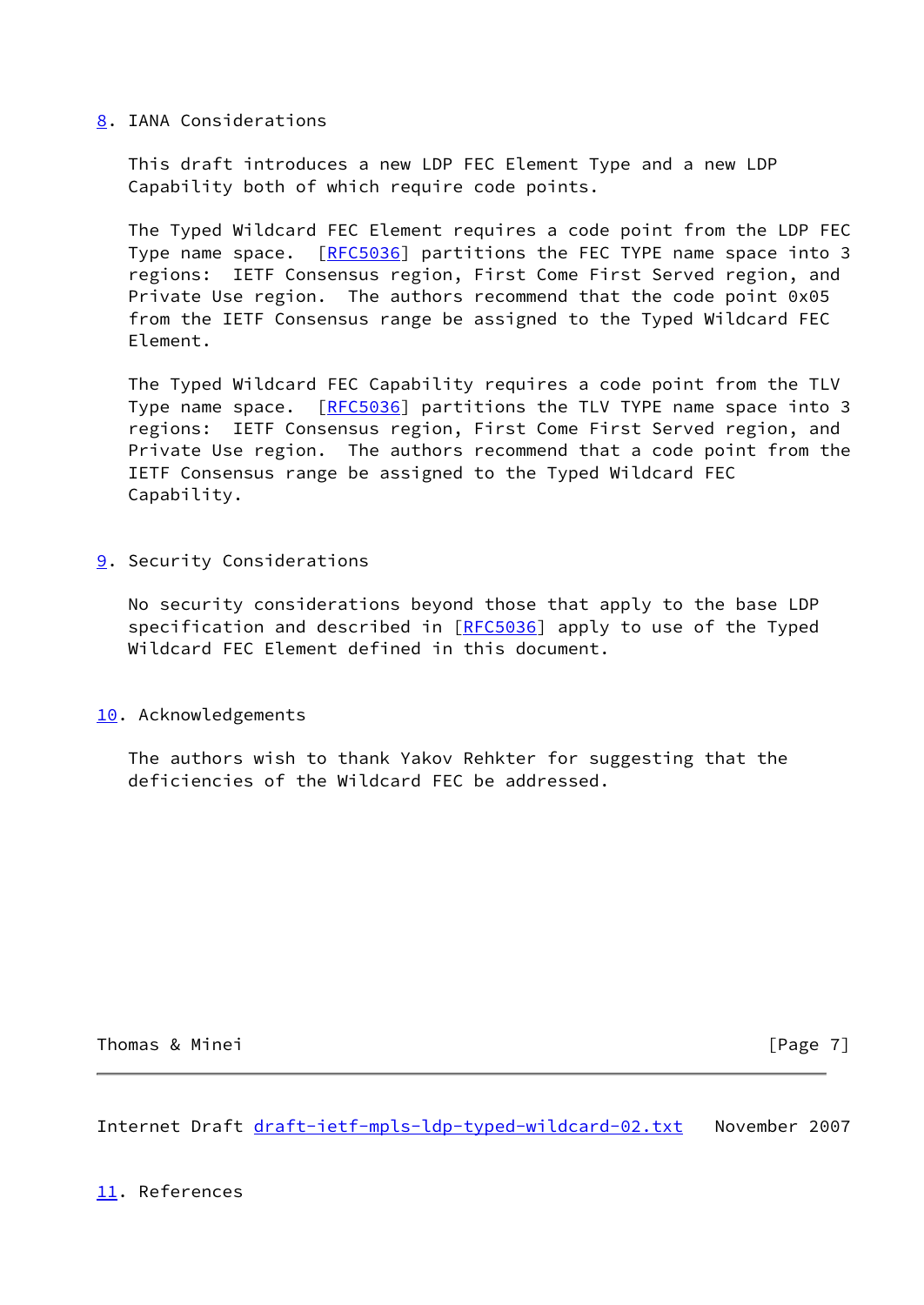## <span id="page-7-0"></span>[8](#page-7-0). IANA Considerations

 This draft introduces a new LDP FEC Element Type and a new LDP Capability both of which require code points.

 The Typed Wildcard FEC Element requires a code point from the LDP FEC Type name space. [[RFC5036](https://datatracker.ietf.org/doc/pdf/rfc5036)] partitions the FEC TYPE name space into 3 regions: IETF Consensus region, First Come First Served region, and Private Use region. The authors recommend that the code point 0x05 from the IETF Consensus range be assigned to the Typed Wildcard FEC Element.

 The Typed Wildcard FEC Capability requires a code point from the TLV Type name space. [[RFC5036](https://datatracker.ietf.org/doc/pdf/rfc5036)] partitions the TLV TYPE name space into 3 regions: IETF Consensus region, First Come First Served region, and Private Use region. The authors recommend that a code point from the IETF Consensus range be assigned to the Typed Wildcard FEC Capability.

<span id="page-7-1"></span>[9](#page-7-1). Security Considerations

 No security considerations beyond those that apply to the base LDP specification and described in [\[RFC5036](https://datatracker.ietf.org/doc/pdf/rfc5036)] apply to use of the Typed Wildcard FEC Element defined in this document.

<span id="page-7-2"></span>[10.](#page-7-2) Acknowledgements

 The authors wish to thank Yakov Rehkter for suggesting that the deficiencies of the Wildcard FEC be addressed.

Thomas & Minei **Example 20** Thomas & Minei **Example 20** Thomas & Minei **Example 20** Thomas **Example 20** Thomas **Example 20** Thomas **Example 20** Thomas **Example 20** Thomas **Example 20** Thomas **Example 20** Thomas **Example 20** 

<span id="page-7-4"></span>Internet Draft [draft-ietf-mpls-ldp-typed-wildcard-02.txt](https://datatracker.ietf.org/doc/pdf/draft-ietf-mpls-ldp-typed-wildcard-02.txt) November 2007

<span id="page-7-3"></span>[11.](#page-7-3) References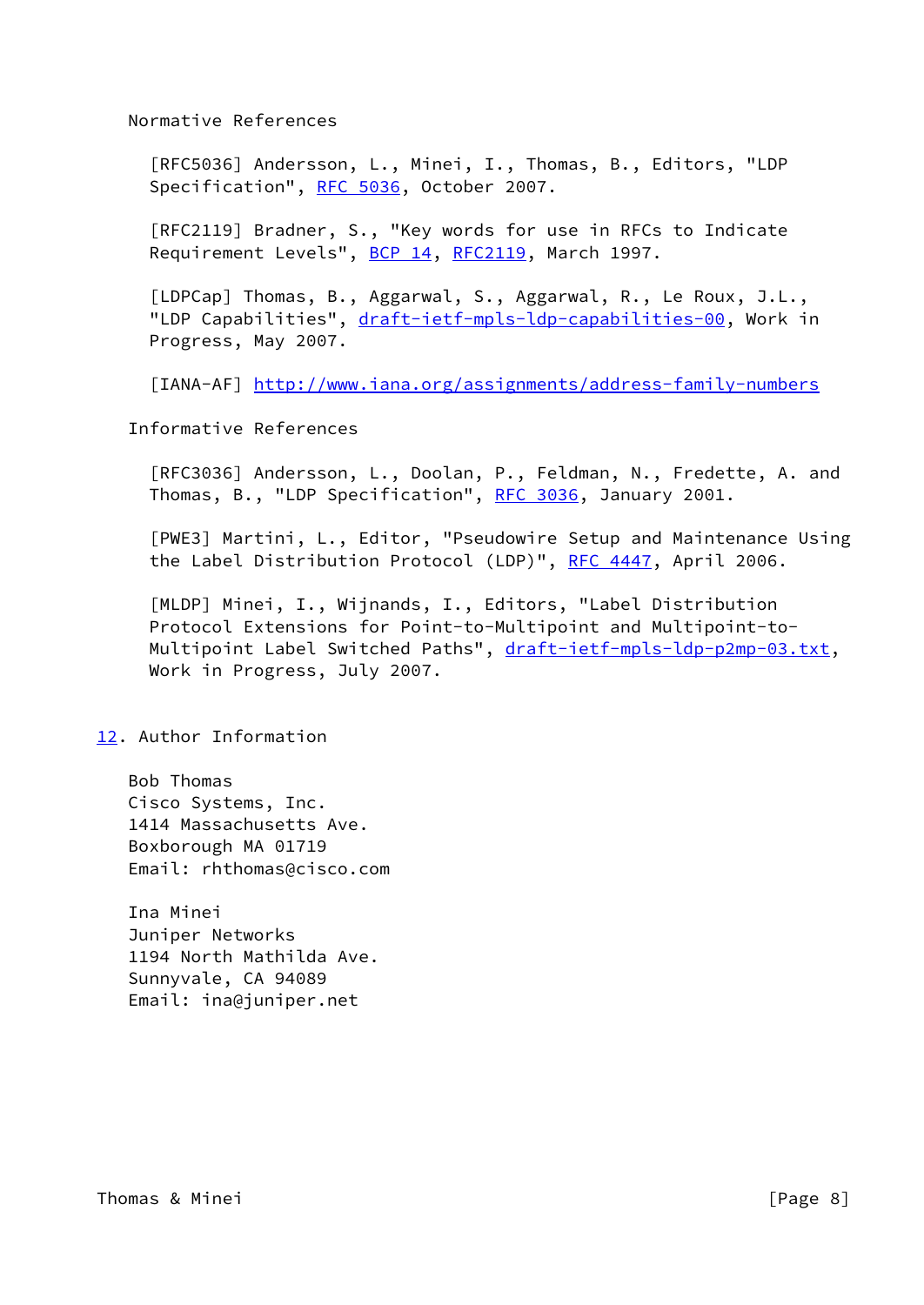Normative References

 [RFC5036] Andersson, L., Minei, I., Thomas, B., Editors, "LDP Specification", [RFC 5036](https://datatracker.ietf.org/doc/pdf/rfc5036), October 2007.

 [RFC2119] Bradner, S., "Key words for use in RFCs to Indicate Requirement Levels", [BCP 14](https://datatracker.ietf.org/doc/pdf/bcp14), [RFC2119](https://datatracker.ietf.org/doc/pdf/rfc2119), March 1997.

<span id="page-8-3"></span> [LDPCap] Thomas, B., Aggarwal, S., Aggarwal, R., Le Roux, J.L., "LDP Capabilities", [draft-ietf-mpls-ldp-capabilities-00](https://datatracker.ietf.org/doc/pdf/draft-ietf-mpls-ldp-capabilities-00), Work in Progress, May 2007.

<span id="page-8-4"></span>[IANA-AF] <http://www.iana.org/assignments/address-family-numbers>

Informative References

 [RFC3036] Andersson, L., Doolan, P., Feldman, N., Fredette, A. and Thomas, B., "LDP Specification", [RFC 3036,](https://datatracker.ietf.org/doc/pdf/rfc3036) January 2001.

<span id="page-8-1"></span> [PWE3] Martini, L., Editor, "Pseudowire Setup and Maintenance Using the Label Distribution Protocol (LDP)", [RFC 4447](https://datatracker.ietf.org/doc/pdf/rfc4447), April 2006.

<span id="page-8-2"></span> [MLDP] Minei, I., Wijnands, I., Editors, "Label Distribution Protocol Extensions for Point-to-Multipoint and Multipoint-to Multipoint Label Switched Paths", [draft-ietf-mpls-ldp-p2mp-03.txt,](https://datatracker.ietf.org/doc/pdf/draft-ietf-mpls-ldp-p2mp-03.txt) Work in Progress, July 2007.

## <span id="page-8-0"></span>[12.](#page-8-0) Author Information

 Bob Thomas Cisco Systems, Inc. 1414 Massachusetts Ave. Boxborough MA 01719 Email: rhthomas@cisco.com

 Ina Minei Juniper Networks 1194 North Mathilda Ave. Sunnyvale, CA 94089 Email: ina@juniper.net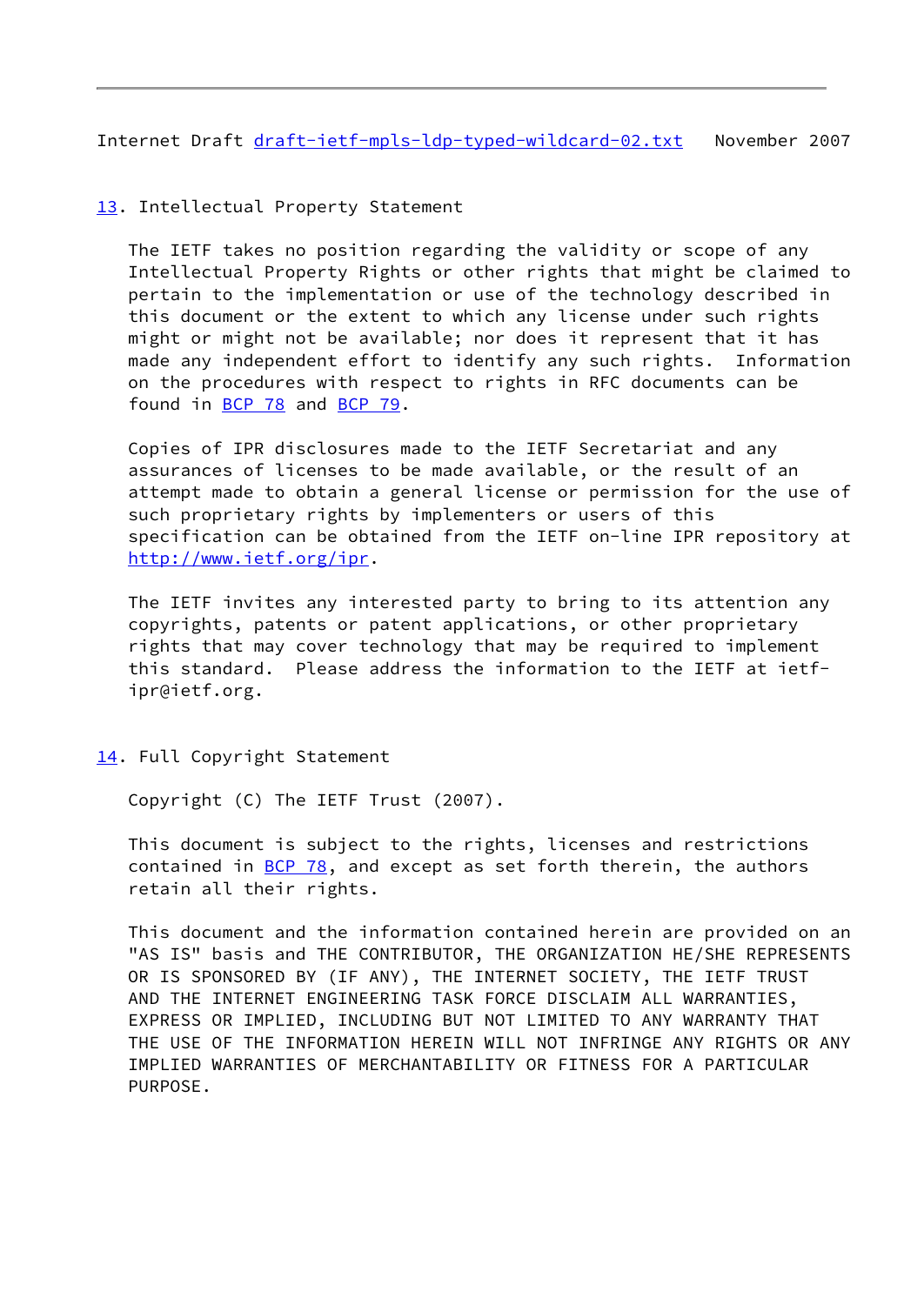<span id="page-9-1"></span>Internet Draft [draft-ietf-mpls-ldp-typed-wildcard-02.txt](https://datatracker.ietf.org/doc/pdf/draft-ietf-mpls-ldp-typed-wildcard-02.txt) November 2007

# <span id="page-9-0"></span>[13.](#page-9-0) Intellectual Property Statement

 The IETF takes no position regarding the validity or scope of any Intellectual Property Rights or other rights that might be claimed to pertain to the implementation or use of the technology described in this document or the extent to which any license under such rights might or might not be available; nor does it represent that it has made any independent effort to identify any such rights. Information on the procedures with respect to rights in RFC documents can be found in [BCP 78](https://datatracker.ietf.org/doc/pdf/bcp78) and [BCP 79](https://datatracker.ietf.org/doc/pdf/bcp79).

 Copies of IPR disclosures made to the IETF Secretariat and any assurances of licenses to be made available, or the result of an attempt made to obtain a general license or permission for the use of such proprietary rights by implementers or users of this specification can be obtained from the IETF on-line IPR repository at <http://www.ietf.org/ipr>.

 The IETF invites any interested party to bring to its attention any copyrights, patents or patent applications, or other proprietary rights that may cover technology that may be required to implement this standard. Please address the information to the IETF at ietf ipr@ietf.org.

<span id="page-9-2"></span>[14.](#page-9-2) Full Copyright Statement

Copyright (C) The IETF Trust (2007).

 This document is subject to the rights, licenses and restrictions contained in  $BCP$  78, and except as set forth therein, the authors retain all their rights.

 This document and the information contained herein are provided on an "AS IS" basis and THE CONTRIBUTOR, THE ORGANIZATION HE/SHE REPRESENTS OR IS SPONSORED BY (IF ANY), THE INTERNET SOCIETY, THE IETF TRUST AND THE INTERNET ENGINEERING TASK FORCE DISCLAIM ALL WARRANTIES, EXPRESS OR IMPLIED, INCLUDING BUT NOT LIMITED TO ANY WARRANTY THAT THE USE OF THE INFORMATION HEREIN WILL NOT INFRINGE ANY RIGHTS OR ANY IMPLIED WARRANTIES OF MERCHANTABILITY OR FITNESS FOR A PARTICULAR PURPOSE.